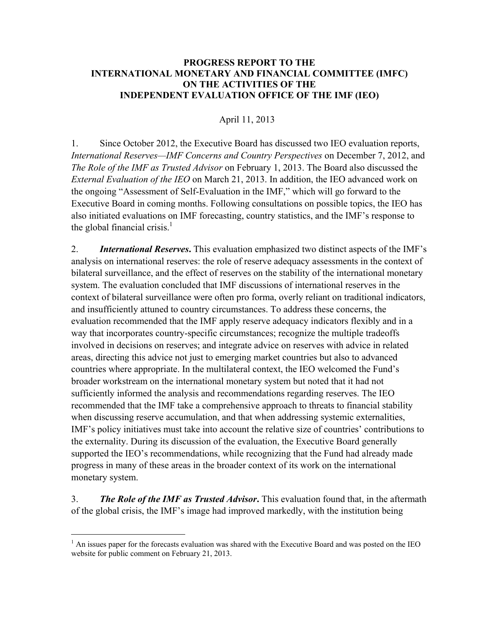## **PROGRESS REPORT TO THE INTERNATIONAL MONETARY AND FINANCIAL COMMITTEE (IMFC) ON THE ACTIVITIES OF THE INDEPENDENT EVALUATION OFFICE OF THE IMF (IEO)**

## April 11, 2013

1. Since October 2012, the Executive Board has discussed two IEO evaluation reports, *International Reserves—IMF Concerns and Country Perspectives* on December 7, 2012, and *The Role of the IMF as Trusted Advisor* on February 1, 2013. The Board also discussed the *External Evaluation of the IEO* on March 21, 2013. In addition, the IEO advanced work on the ongoing "Assessment of Self-Evaluation in the IMF," which will go forward to the Executive Board in coming months. Following consultations on possible topics, the IEO has also initiated evaluations on IMF forecasting, country statistics, and the IMF's response to the global financial crisis. $<sup>1</sup>$ </sup>

2. *International Reserves***.** This evaluation emphasized two distinct aspects of the IMF's analysis on international reserves: the role of reserve adequacy assessments in the context of bilateral surveillance, and the effect of reserves on the stability of the international monetary system. The evaluation concluded that IMF discussions of international reserves in the context of bilateral surveillance were often pro forma, overly reliant on traditional indicators, and insufficiently attuned to country circumstances. To address these concerns, the evaluation recommended that the IMF apply reserve adequacy indicators flexibly and in a way that incorporates country-specific circumstances; recognize the multiple tradeoffs involved in decisions on reserves; and integrate advice on reserves with advice in related areas, directing this advice not just to emerging market countries but also to advanced countries where appropriate. In the multilateral context, the IEO welcomed the Fund's broader workstream on the international monetary system but noted that it had not sufficiently informed the analysis and recommendations regarding reserves. The IEO recommended that the IMF take a comprehensive approach to threats to financial stability when discussing reserve accumulation, and that when addressing systemic externalities, IMF's policy initiatives must take into account the relative size of countries' contributions to the externality. During its discussion of the evaluation, the Executive Board generally supported the IEO's recommendations, while recognizing that the Fund had already made progress in many of these areas in the broader context of its work on the international monetary system.

3. *The Role of the IMF as Trusted Advisor***.** This evaluation found that, in the aftermath of the global crisis, the IMF's image had improved markedly, with the institution being

1

 $<sup>1</sup>$  An issues paper for the forecasts evaluation was shared with the Executive Board and was posted on the IEO</sup> website for public comment on February 21, 2013.